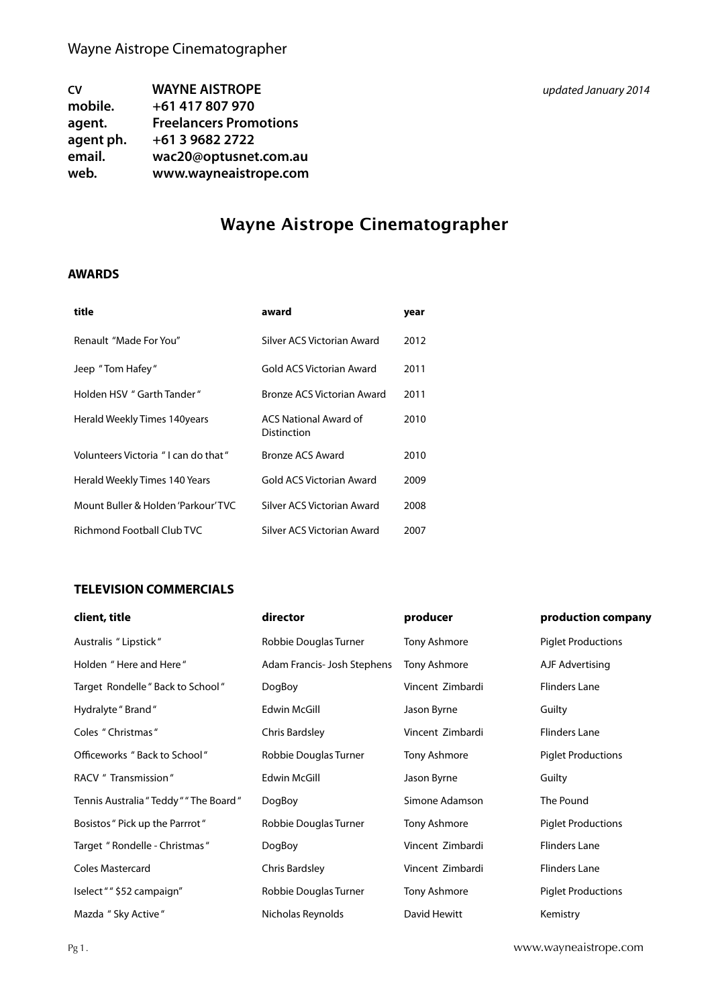| <b>CV</b> | <b>WAYNE AISTROPE</b>         |
|-----------|-------------------------------|
| mobile.   | +61 417 807 970               |
| agent.    | <b>Freelancers Promotions</b> |
| agent ph. | +61 3 9682 2722               |
| email.    | wac20@optusnet.com.au         |
| web.      | www.wayneaistrope.com         |

### **AWARDS**

| title                               | award                                       | year |
|-------------------------------------|---------------------------------------------|------|
| Renault "Made For You"              | Silver ACS Victorian Award                  | 2012 |
| Jeep "Tom Hafey"                    | Gold ACS Victorian Award                    | 2011 |
| Holden HSV " Garth Tander"          | Bronze ACS Victorian Award                  | 2011 |
| Herald Weekly Times 140years        | <b>ACS National Award of</b><br>Distinction | 2010 |
| Volunteers Victoria "I can do that" | Bronze ACS Award                            | 2010 |
| Herald Weekly Times 140 Years       | Gold ACS Victorian Award                    | 2009 |
| Mount Buller & Holden 'Parkour' TVC | Silver ACS Victorian Award                  | 2008 |
| Richmond Football Club TVC          | Silver ACS Victorian Award                  | 2007 |

#### **TELEVISION COMMERCIALS**

| client, title                          | director                    | producer         | production company        |
|----------------------------------------|-----------------------------|------------------|---------------------------|
| Australis "Lipstick"                   | Robbie Douglas Turner       | Tony Ashmore     | <b>Piglet Productions</b> |
| Holden "Here and Here"                 | Adam Francis- Josh Stephens | Tony Ashmore     | AJF Advertising           |
| Target Rondelle " Back to School "     | DogBoy                      | Vincent Zimbardi | <b>Flinders Lane</b>      |
| Hydralyte "Brand"                      | <b>Edwin McGill</b>         | Jason Byrne      | Guilty                    |
| Coles " Christmas "                    | Chris Bardsley              | Vincent Zimbardi | <b>Flinders Lane</b>      |
| Officeworks "Back to School"           | Robbie Douglas Turner       | Tony Ashmore     | <b>Piglet Productions</b> |
| RACV " Transmission"                   | <b>Edwin McGill</b>         | Jason Byrne      | Guilty                    |
| Tennis Australia "Teddy " "The Board " | DogBoy                      | Simone Adamson   | The Pound                 |
| Bosistos " Pick up the Parrrot "       | Robbie Douglas Turner       | Tony Ashmore     | <b>Piglet Productions</b> |
| Target " Rondelle - Christmas "        | DogBoy                      | Vincent Zimbardi | <b>Flinders Lane</b>      |
| <b>Coles Mastercard</b>                | Chris Bardsley              | Vincent Zimbardi | <b>Flinders Lane</b>      |
| Iselect " " \$52 campaign"             | Robbie Douglas Turner       | Tony Ashmore     | <b>Piglet Productions</b> |
| Mazda " Sky Active"                    | Nicholas Reynolds           | David Hewitt     | Kemistry                  |

Pg 1. [www.wayneaistrope.com](http://www.wayneaistrope.com)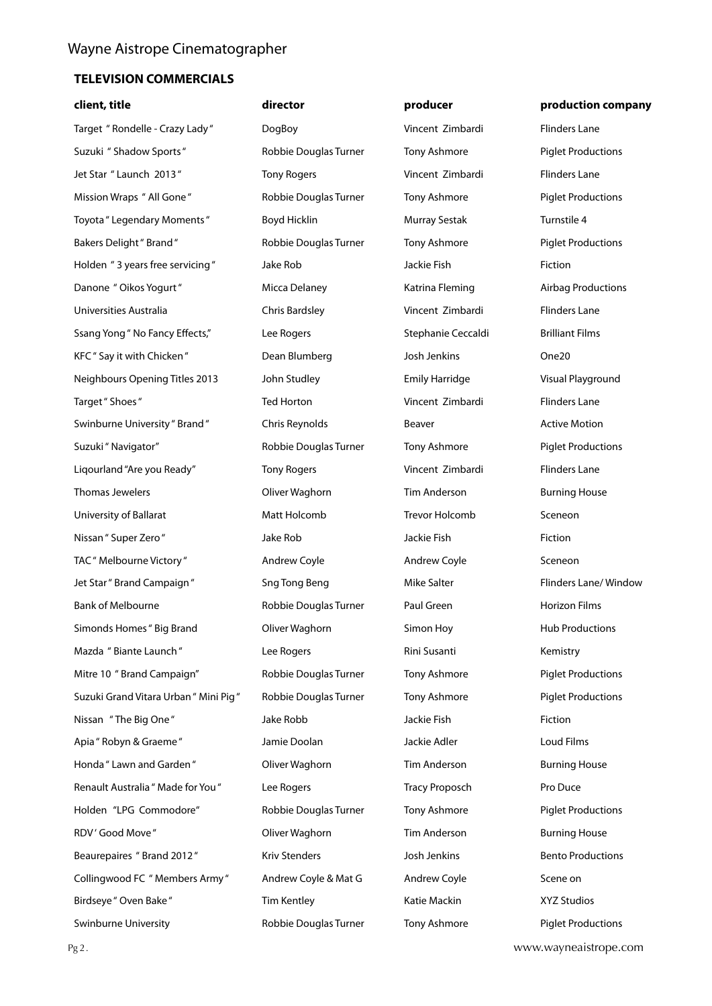| client, title                          | director              | producer              | production company        |
|----------------------------------------|-----------------------|-----------------------|---------------------------|
| Target " Rondelle - Crazy Lady "       | DogBoy                | Vincent Zimbardi      | <b>Flinders Lane</b>      |
| Suzuki " Shadow Sports"                | Robbie Douglas Turner | Tony Ashmore          | <b>Piglet Productions</b> |
| Jet Star " Launch 2013"                | <b>Tony Rogers</b>    | Vincent Zimbardi      | <b>Flinders Lane</b>      |
| Mission Wraps " All Gone"              | Robbie Douglas Turner | Tony Ashmore          | <b>Piglet Productions</b> |
| Toyota " Legendary Moments "           | Boyd Hicklin          | <b>Murray Sestak</b>  | Turnstile 4               |
| <b>Bakers Delight</b> " Brand "        | Robbie Douglas Turner | Tony Ashmore          | <b>Piglet Productions</b> |
| Holden "3 years free servicing"        | Jake Rob              | Jackie Fish           | Fiction                   |
| Danone " Oikos Yogurt"                 | Micca Delaney         | Katrina Fleming       | <b>Airbag Productions</b> |
| Universities Australia                 | <b>Chris Bardsley</b> | Vincent Zimbardi      | <b>Flinders Lane</b>      |
| Ssang Yong " No Fancy Effects,"        | Lee Rogers            | Stephanie Ceccaldi    | <b>Brilliant Films</b>    |
| KFC" Say it with Chicken"              | Dean Blumberg         | Josh Jenkins          | One20                     |
| Neighbours Opening Titles 2013         | John Studley          | <b>Emily Harridge</b> | Visual Playground         |
| Target " Shoes "                       | <b>Ted Horton</b>     | Vincent Zimbardi      | <b>Flinders Lane</b>      |
| Swinburne University " Brand "         | Chris Reynolds        | Beaver                | <b>Active Motion</b>      |
| Suzuki " Navigator"                    | Robbie Douglas Turner | Tony Ashmore          | <b>Piglet Productions</b> |
| Liqourland "Are you Ready"             | <b>Tony Rogers</b>    | Vincent Zimbardi      | <b>Flinders Lane</b>      |
| Thomas Jewelers                        | Oliver Waghorn        | <b>Tim Anderson</b>   | <b>Burning House</b>      |
| University of Ballarat                 | Matt Holcomb          | <b>Trevor Holcomb</b> | Sceneon                   |
| Nissan " Super Zero "                  | Jake Rob              | Jackie Fish           | Fiction                   |
| TAC" Melbourne Victory"                | Andrew Coyle          | Andrew Coyle          | Sceneon                   |
| Jet Star" Brand Campaign"              | <b>Sng Tong Beng</b>  | Mike Salter           | Flinders Lane/ Window     |
| <b>Bank of Melbourne</b>               | Robbie Douglas Turner | Paul Green            | Horizon Films             |
| Simonds Homes " Big Brand              | Oliver Waghorn        | Simon Hoy             | <b>Hub Productions</b>    |
| Mazda "Biante Launch"                  | Lee Rogers            | Rini Susanti          | Kemistry                  |
| Mitre 10 " Brand Campaign"             | Robbie Douglas Turner | Tony Ashmore          | <b>Piglet Productions</b> |
| Suzuki Grand Vitara Urban " Mini Pig " | Robbie Douglas Turner | Tony Ashmore          | <b>Piglet Productions</b> |
| Nissan "The Big One"                   | Jake Robb             | Jackie Fish           | Fiction                   |
| Apia " Robyn & Graeme "                | Jamie Doolan          | Jackie Adler          | Loud Films                |
| Honda " Lawn and Garden "              | Oliver Waghorn        | Tim Anderson          | <b>Burning House</b>      |
| Renault Australia " Made for You "     | Lee Rogers            | <b>Tracy Proposch</b> | Pro Duce                  |
| Holden "LPG Commodore"                 | Robbie Douglas Turner | Tony Ashmore          | <b>Piglet Productions</b> |
| RDV' Good Move"                        | Oliver Waghorn        | Tim Anderson          | <b>Burning House</b>      |
| Beaurepaires "Brand 2012"              | Kriv Stenders         | Josh Jenkins          | <b>Bento Productions</b>  |
| Collingwood FC " Members Army "        | Andrew Coyle & Mat G  | Andrew Coyle          | Scene on                  |
| Birdseye " Oven Bake "                 | <b>Tim Kentley</b>    | Katie Mackin          | <b>XYZ Studios</b>        |
| Swinburne University                   | Robbie Douglas Turner | Tony Ashmore          | <b>Piglet Productions</b> |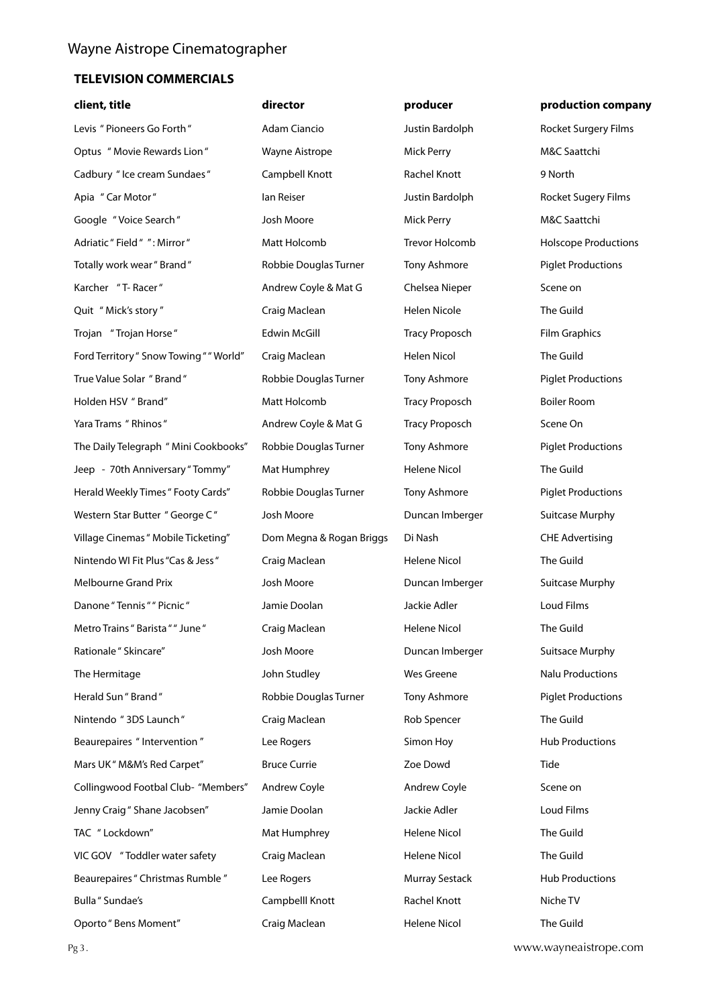| client, title                           | director                 | producer              | production company          |
|-----------------------------------------|--------------------------|-----------------------|-----------------------------|
| Levis " Pioneers Go Forth"              | Adam Ciancio             | Justin Bardolph       | Rocket Surgery Films        |
| Optus " Movie Rewards Lion"             | Wayne Aistrope           | <b>Mick Perry</b>     | M&C Saattchi                |
| Cadbury " Ice cream Sundaes"            | Campbell Knott           | Rachel Knott          | 9 North                     |
| Apia "Car Motor"                        | lan Reiser               | Justin Bardolph       | Rocket Sugery Films         |
| Google "Voice Search"                   | Josh Moore               | Mick Perry            | M&C Saattchi                |
| Adriatic " Field " ": Mirror "          | Matt Holcomb             | Trevor Holcomb        | <b>Holscope Productions</b> |
| Totally work wear" Brand"               | Robbie Douglas Turner    | Tony Ashmore          | <b>Piglet Productions</b>   |
| Karcher "T-Racer"                       | Andrew Coyle & Mat G     | Chelsea Nieper        | Scene on                    |
| Quit "Mick's story"                     | Craig Maclean            | <b>Helen Nicole</b>   | The Guild                   |
| Trojan "Trojan Horse"                   | Edwin McGill             | <b>Tracy Proposch</b> | <b>Film Graphics</b>        |
| Ford Territory " Snow Towing " " World" | Craig Maclean            | <b>Helen Nicol</b>    | The Guild                   |
| True Value Solar "Brand"                | Robbie Douglas Turner    | Tony Ashmore          | <b>Piglet Productions</b>   |
| Holden HSV " Brand"                     | Matt Holcomb             | <b>Tracy Proposch</b> | <b>Boiler Room</b>          |
| Yara Trams " Rhinos "                   | Andrew Coyle & Mat G     | <b>Tracy Proposch</b> | Scene On                    |
| The Daily Telegraph " Mini Cookbooks"   | Robbie Douglas Turner    | Tony Ashmore          | <b>Piglet Productions</b>   |
| Jeep - 70th Anniversary "Tommy"         | Mat Humphrey             | <b>Helene Nicol</b>   | The Guild                   |
| Herald Weekly Times " Footy Cards"      | Robbie Douglas Turner    | Tony Ashmore          | <b>Piglet Productions</b>   |
| Western Star Butter " George C"         | Josh Moore               | Duncan Imberger       | <b>Suitcase Murphy</b>      |
| Village Cinemas " Mobile Ticketing"     | Dom Megna & Rogan Briggs | Di Nash               | <b>CHE Advertising</b>      |
| Nintendo WI Fit Plus "Cas & Jess"       | Craig Maclean            | Helene Nicol          | The Guild                   |
| Melbourne Grand Prix                    | Josh Moore               | Duncan Imberger       | <b>Suitcase Murphy</b>      |
| Danone "Tennis " " Picnic "             | Jamie Doolan             | Jackie Adler          | Loud Films                  |
| Metro Trains " Barista " " June "       | Craig Maclean            | <b>Helene Nicol</b>   | The Guild                   |
| Rationale " Skincare"                   | Josh Moore               | Duncan Imberger       | <b>Suitsace Murphy</b>      |
| The Hermitage                           | John Studley             | Wes Greene            | <b>Nalu Productions</b>     |
| Herald Sun " Brand "                    | Robbie Douglas Turner    | Tony Ashmore          | <b>Piglet Productions</b>   |
| Nintendo "3DS Launch"                   | Craig Maclean            | Rob Spencer           | The Guild                   |
| Beaurepaires " Intervention"            | Lee Rogers               | Simon Hoy             | <b>Hub Productions</b>      |
| Mars UK" M&M's Red Carpet"              | <b>Bruce Currie</b>      | Zoe Dowd              | Tide                        |
| Collingwood Footbal Club- "Members"     | Andrew Coyle             | Andrew Coyle          | Scene on                    |
| Jenny Craig " Shane Jacobsen"           | Jamie Doolan             | Jackie Adler          | Loud Films                  |
| TAC " Lockdown"                         | Mat Humphrey             | Helene Nicol          | The Guild                   |
| VIC GOV "Toddler water safety           | Craig Maclean            | Helene Nicol          | The Guild                   |
| Beaurepaires " Christmas Rumble "       | Lee Rogers               | Murray Sestack        | <b>Hub Productions</b>      |
| Bulla " Sundae's                        | Campbelll Knott          | Rachel Knott          | Niche TV                    |
| Oporto" Bens Moment"                    | Craig Maclean            | Helene Nicol          | The Guild                   |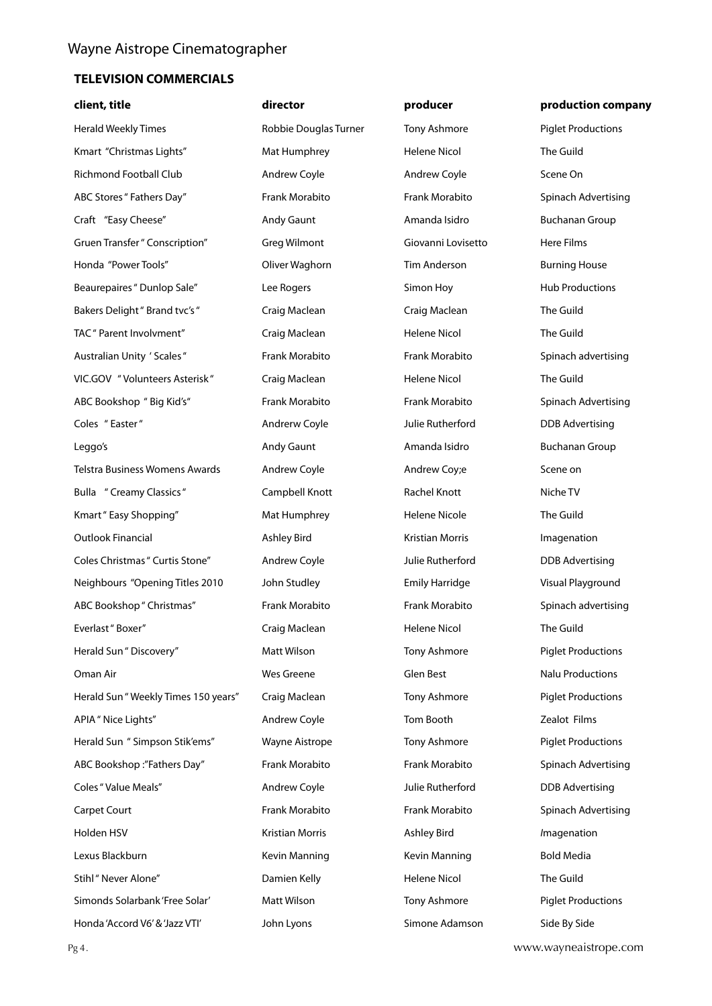| client, title                         | director              | producer              | production company        |
|---------------------------------------|-----------------------|-----------------------|---------------------------|
| Herald Weekly Times                   | Robbie Douglas Turner | Tony Ashmore          | <b>Piglet Productions</b> |
| Kmart "Christmas Lights"              | Mat Humphrey          | Helene Nicol          | The Guild                 |
| Richmond Football Club                | Andrew Coyle          | Andrew Coyle          | Scene On                  |
| ABC Stores " Fathers Day"             | Frank Morabito        | Frank Morabito        | Spinach Advertising       |
| Craft "Easy Cheese"                   | Andy Gaunt            | Amanda Isidro         | <b>Buchanan Group</b>     |
| Gruen Transfer " Conscription"        | Greg Wilmont          | Giovanni Lovisetto    | Here Films                |
| Honda "Power Tools"                   | Oliver Waghorn        | <b>Tim Anderson</b>   | <b>Burning House</b>      |
| Beaurepaires " Dunlop Sale"           | Lee Rogers            | Simon Hoy             | <b>Hub Productions</b>    |
| Bakers Delight " Brand tvc's "        | Craig Maclean         | Craig Maclean         | The Guild                 |
| TAC " Parent Involvment"              | Craig Maclean         | <b>Helene Nicol</b>   | The Guild                 |
| Australian Unity ' Scales"            | Frank Morabito        | Frank Morabito        | Spinach advertising       |
| VIC.GOV "Volunteers Asterisk"         | Craig Maclean         | <b>Helene Nicol</b>   | The Guild                 |
| ABC Bookshop " Big Kid's"             | Frank Morabito        | Frank Morabito        | Spinach Advertising       |
| Coles "Easter"                        | Andrerw Coyle         | Julie Rutherford      | <b>DDB Advertising</b>    |
| Leggo's                               | Andy Gaunt            | Amanda Isidro         | <b>Buchanan Group</b>     |
| <b>Telstra Business Womens Awards</b> | Andrew Coyle          | Andrew Coy;e          | Scene on                  |
| Bulla " Creamy Classics"              | Campbell Knott        | Rachel Knott          | Niche TV                  |
| Kmart" Easy Shopping"                 | Mat Humphrey          | <b>Helene Nicole</b>  | The Guild                 |
| Outlook Financial                     | <b>Ashley Bird</b>    | Kristian Morris       | Imagenation               |
| Coles Christmas " Curtis Stone"       | Andrew Coyle          | Julie Rutherford      | <b>DDB</b> Advertising    |
| Neighbours "Opening Titles 2010       | John Studley          | <b>Emily Harridge</b> | Visual Playground         |
| ABC Bookshop " Christmas"             | Frank Morabito        | Frank Morabito        | Spinach advertising       |
| Everlast "Boxer"                      | Craig Maclean         | <b>Helene Nicol</b>   | The Guild                 |
| Herald Sun " Discovery"               | Matt Wilson           | Tony Ashmore          | <b>Piglet Productions</b> |
| Oman Air                              | Wes Greene            | Glen Best             | <b>Nalu Productions</b>   |
| Herald Sun " Weekly Times 150 years"  | Craig Maclean         | Tony Ashmore          | <b>Piglet Productions</b> |
| APIA " Nice Lights"                   | Andrew Coyle          | Tom Booth             | Zealot Films              |
| Herald Sun " Simpson Stik'ems"        | Wayne Aistrope        | Tony Ashmore          | <b>Piglet Productions</b> |
| ABC Bookshop:"Fathers Day"            | Frank Morabito        | Frank Morabito        | Spinach Advertising       |
| Coles " Value Meals"                  | Andrew Coyle          | Julie Rutherford      | <b>DDB Advertising</b>    |
| Carpet Court                          | Frank Morabito        | Frank Morabito        | Spinach Advertising       |
| Holden HSV                            | Kristian Morris       | Ashley Bird           | <i>I</i> magenation       |
| Lexus Blackburn                       | Kevin Manning         | Kevin Manning         | <b>Bold Media</b>         |
| Stihl" Never Alone"                   | Damien Kelly          | Helene Nicol          | The Guild                 |
| Simonds Solarbank 'Free Solar'        | Matt Wilson           | Tony Ashmore          | <b>Piglet Productions</b> |
| Honda 'Accord V6' & 'Jazz VTI'        | John Lyons            | Simone Adamson        | Side By Side              |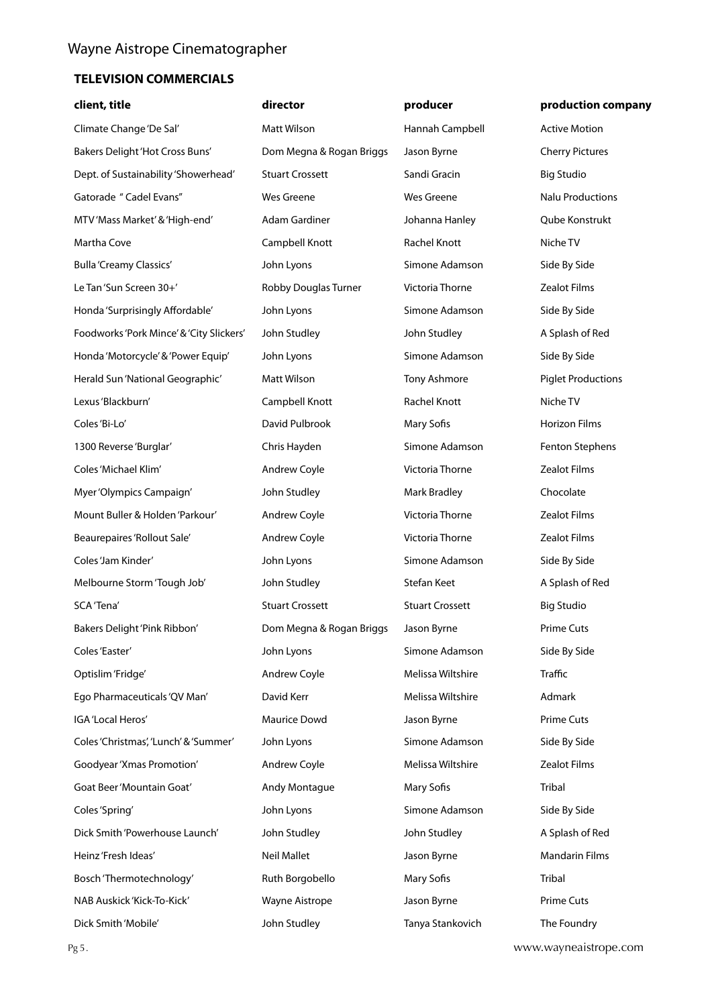| client, title                            | director                 | producer               | production company        |
|------------------------------------------|--------------------------|------------------------|---------------------------|
| Climate Change 'De Sal'                  | Matt Wilson              | Hannah Campbell        | <b>Active Motion</b>      |
| Bakers Delight 'Hot Cross Buns'          | Dom Megna & Rogan Briggs | Jason Byrne            | <b>Cherry Pictures</b>    |
| Dept. of Sustainability 'Showerhead'     | <b>Stuart Crossett</b>   | Sandi Gracin           | <b>Big Studio</b>         |
| Gatorade " Cadel Evans"                  | Wes Greene               | Wes Greene             | <b>Nalu Productions</b>   |
| MTV'Mass Market' & 'High-end'            | Adam Gardiner            | Johanna Hanley         | Qube Konstrukt            |
| Martha Cove                              | Campbell Knott           | Rachel Knott           | Niche TV                  |
| <b>Bulla 'Creamy Classics'</b>           | John Lyons               | Simone Adamson         | Side By Side              |
| Le Tan'Sun Screen 30+'                   | Robby Douglas Turner     | Victoria Thorne        | <b>Zealot Films</b>       |
| Honda 'Surprisingly Affordable'          | John Lyons               | Simone Adamson         | Side By Side              |
| Foodworks 'Pork Mince' & 'City Slickers' | John Studley             | John Studley           | A Splash of Red           |
| Honda 'Motorcycle' & 'Power Equip'       | John Lyons               | Simone Adamson         | Side By Side              |
| Herald Sun 'National Geographic'         | Matt Wilson              | Tony Ashmore           | <b>Piglet Productions</b> |
| Lexus 'Blackburn'                        | Campbell Knott           | Rachel Knott           | Niche TV                  |
| Coles 'Bi-Lo'                            | David Pulbrook           | Mary Sofis             | Horizon Films             |
| 1300 Reverse 'Burglar'                   | Chris Hayden             | Simone Adamson         | Fenton Stephens           |
| Coles 'Michael Klim'                     | Andrew Coyle             | Victoria Thorne        | <b>Zealot Films</b>       |
| Myer 'Olympics Campaign'                 | John Studley             | <b>Mark Bradley</b>    | Chocolate                 |
| Mount Buller & Holden 'Parkour'          | Andrew Coyle             | Victoria Thorne        | <b>Zealot Films</b>       |
| Beaurepaires 'Rollout Sale'              | Andrew Coyle             | Victoria Thorne        | <b>Zealot Films</b>       |
| Coles 'Jam Kinder'                       | John Lyons               | Simone Adamson         | Side By Side              |
| Melbourne Storm 'Tough Job'              | John Studley             | Stefan Keet            | A Splash of Red           |
| SCA 'Tena'                               | <b>Stuart Crossett</b>   | <b>Stuart Crossett</b> | <b>Big Studio</b>         |
| Bakers Delight 'Pink Ribbon'             | Dom Megna & Rogan Briggs | Jason Byrne            | <b>Prime Cuts</b>         |
| Coles 'Easter'                           | John Lyons               | Simone Adamson         | Side By Side              |
| Optislim 'Fridge'                        | <b>Andrew Coyle</b>      | Melissa Wiltshire      | <b>Traffic</b>            |
| Ego Pharmaceuticals 'QV Man'             | David Kerr               | Melissa Wiltshire      | Admark                    |
| IGA 'Local Heros'                        | Maurice Dowd             | Jason Byrne            | <b>Prime Cuts</b>         |
| Coles 'Christmas', 'Lunch' & 'Summer'    | John Lyons               | Simone Adamson         | Side By Side              |
| Goodyear 'Xmas Promotion'                | Andrew Coyle             | Melissa Wiltshire      | <b>Zealot Films</b>       |
| Goat Beer 'Mountain Goat'                | Andy Montague            | Mary Sofis             | Tribal                    |
| Coles 'Spring'                           | John Lyons               | Simone Adamson         | Side By Side              |
| Dick Smith 'Powerhouse Launch'           | John Studley             | John Studley           | A Splash of Red           |
| Heinz'Fresh Ideas'                       | <b>Neil Mallet</b>       | Jason Byrne            | <b>Mandarin Films</b>     |
| Bosch 'Thermotechnology'                 | Ruth Borgobello          | Mary Sofis             | Tribal                    |
| NAB Auskick 'Kick-To-Kick'               | Wayne Aistrope           | Jason Byrne            | <b>Prime Cuts</b>         |
| Dick Smith 'Mobile'                      | John Studley             | Tanya Stankovich       | The Foundry               |